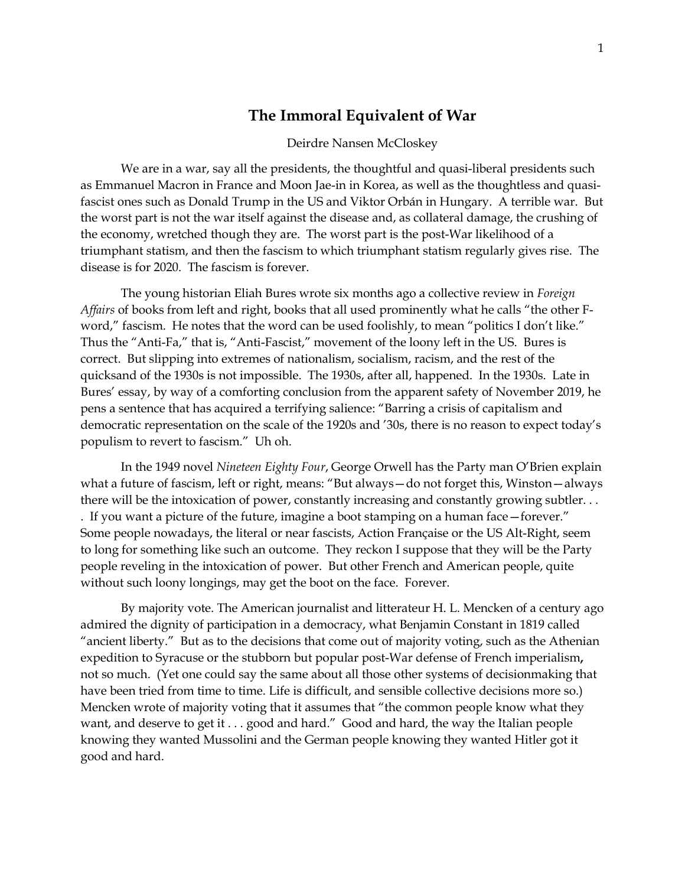## **The Immoral Equivalent of War**

## Deirdre Nansen McCloskey

We are in a war, say all the presidents, the thoughtful and quasi-liberal presidents such as Emmanuel Macron in France and Moon Jae-in in Korea, as well as the thoughtless and quasifascist ones such as Donald Trump in the US and Viktor Orbán in Hungary. A terrible war. But the worst part is not the war itself against the disease and, as collateral damage, the crushing of the economy, wretched though they are. The worst part is the post-War likelihood of a triumphant statism, and then the fascism to which triumphant statism regularly gives rise. The disease is for 2020. The fascism is forever.

The young historian Eliah Bures wrote six months ago a collective review in *Foreign Affairs* of books from left and right, books that all used prominently what he calls "the other Fword," fascism. He notes that the word can be used foolishly, to mean "politics I don't like." Thus the "Anti-Fa," that is, "Anti-Fascist," movement of the loony left in the US. Bures is correct. But slipping into extremes of nationalism, socialism, racism, and the rest of the quicksand of the 1930s is not impossible. The 1930s, after all, happened. In the 1930s. Late in Bures' essay, by way of a comforting conclusion from the apparent safety of November 2019, he pens a sentence that has acquired a terrifying salience: "Barring a crisis of capitalism and democratic representation on the scale of the 1920s and '30s, there is no reason to expect today's populism to revert to fascism." Uh oh.

In the 1949 novel *Nineteen Eighty Four*, George Orwell has the Party man O'Brien explain what a future of fascism, left or right, means: "But always—do not forget this, Winston—always there will be the intoxication of power, constantly increasing and constantly growing subtler. . . . If you want a picture of the future, imagine a boot stamping on a human face—forever." Some people nowadays, the literal or near fascists, Action Française or the US Alt-Right, seem to long for something like such an outcome. They reckon I suppose that they will be the Party people reveling in the intoxication of power. But other French and American people, quite without such loony longings, may get the boot on the face. Forever.

By majority vote. The American journalist and litterateur H. L. Mencken of a century ago admired the dignity of participation in a democracy, what Benjamin Constant in 1819 called "ancient liberty." But as to the decisions that come out of majority voting, such as the Athenian expedition to Syracuse or the stubborn but popular post-War defense of French imperialism**,** not so much.(Yet one could say the same about all those other systems of decisionmaking that have been tried from time to time. Life is difficult, and sensible collective decisions more so.) Mencken wrote of majority voting that it assumes that "the common people know what they want, and deserve to get it . . . good and hard." Good and hard, the way the Italian people knowing they wanted Mussolini and the German people knowing they wanted Hitler got it good and hard.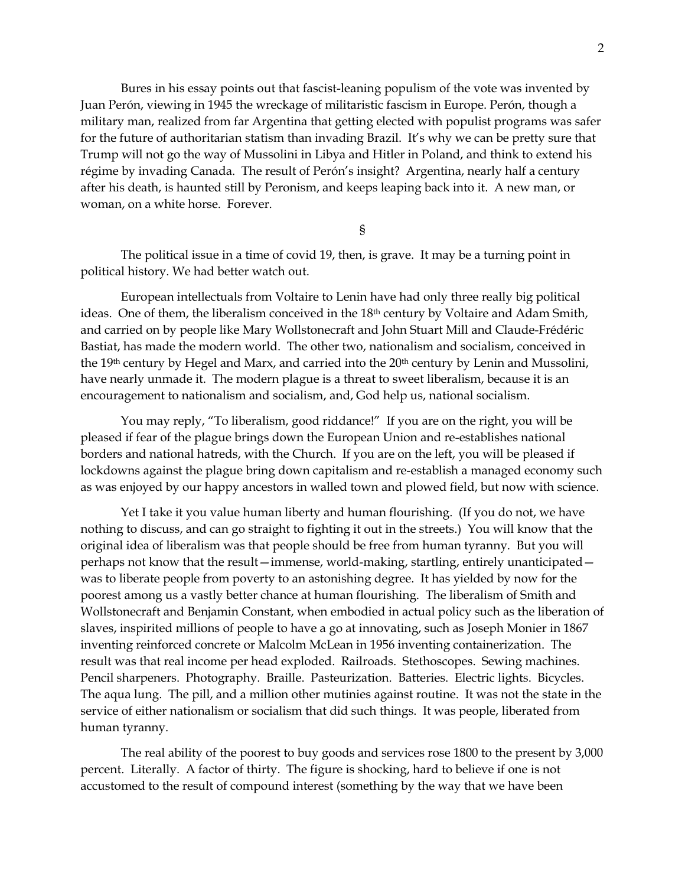Bures in his essay points out that fascist-leaning populism of the vote was invented by Juan Perón, viewing in 1945 the wreckage of militaristic fascism in Europe. Perón, though a military man, realized from far Argentina that getting elected with populist programs was safer for the future of authoritarian statism than invading Brazil. It's why we can be pretty sure that Trump will not go the way of Mussolini in Libya and Hitler in Poland, and think to extend his régime by invading Canada. The result of Perón's insight? Argentina, nearly half a century after his death, is haunted still by Peronism, and keeps leaping back into it. A new man, or woman, on a white horse. Forever.

§

The political issue in a time of covid 19, then, is grave. It may be a turning point in political history. We had better watch out.

European intellectuals from Voltaire to Lenin have had only three really big political ideas. One of them, the liberalism conceived in the 18<sup>th</sup> century by Voltaire and Adam Smith, and carried on by people like Mary Wollstonecraft and John Stuart Mill and Claude-Frédéric Bastiat, has made the modern world. The other two, nationalism and socialism, conceived in the 19<sup>th</sup> century by Hegel and Marx, and carried into the 20<sup>th</sup> century by Lenin and Mussolini, have nearly unmade it. The modern plague is a threat to sweet liberalism, because it is an encouragement to nationalism and socialism, and, God help us, national socialism.

You may reply, "To liberalism, good riddance!" If you are on the right, you will be pleased if fear of the plague brings down the European Union and re-establishes national borders and national hatreds, with the Church. If you are on the left, you will be pleased if lockdowns against the plague bring down capitalism and re-establish a managed economy such as was enjoyed by our happy ancestors in walled town and plowed field, but now with science.

Yet I take it you value human liberty and human flourishing. (If you do not, we have nothing to discuss, and can go straight to fighting it out in the streets.) You will know that the original idea of liberalism was that people should be free from human tyranny. But you will perhaps not know that the result—immense, world-making, startling, entirely unanticipated was to liberate people from poverty to an astonishing degree. It has yielded by now for the poorest among us a vastly better chance at human flourishing. The liberalism of Smith and Wollstonecraft and Benjamin Constant, when embodied in actual policy such as the liberation of slaves, inspirited millions of people to have a go at innovating, such as Joseph Monier in 1867 inventing reinforced concrete or Malcolm McLean in 1956 inventing containerization. The result was that real income per head exploded. Railroads. Stethoscopes. Sewing machines. Pencil sharpeners. Photography. Braille. Pasteurization. Batteries. Electric lights. Bicycles. The aqua lung. The pill, and a million other mutinies against routine. It was not the state in the service of either nationalism or socialism that did such things. It was people, liberated from human tyranny.

The real ability of the poorest to buy goods and services rose 1800 to the present by 3,000 percent. Literally. A factor of thirty. The figure is shocking, hard to believe if one is not accustomed to the result of compound interest (something by the way that we have been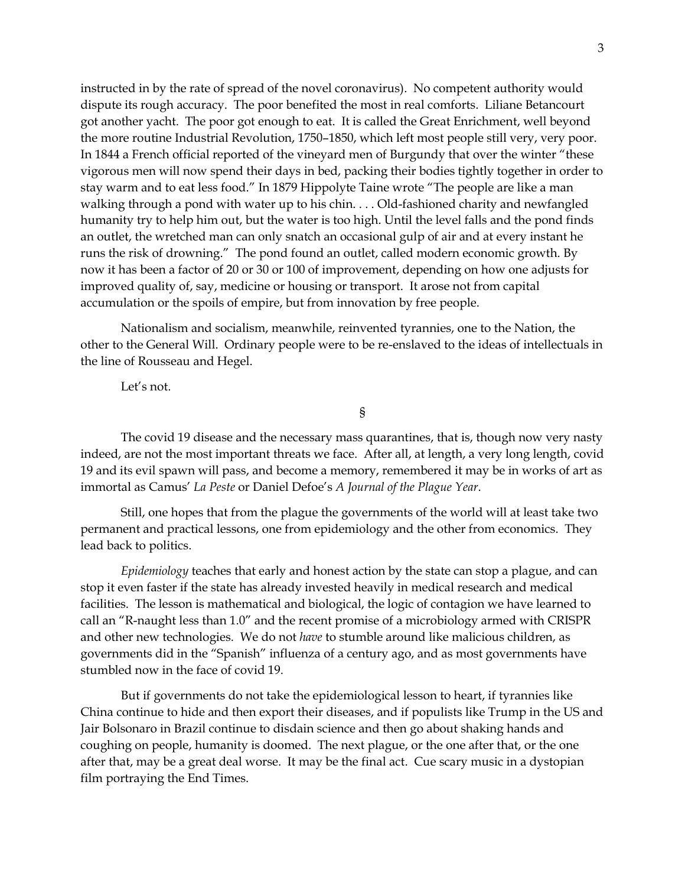instructed in by the rate of spread of the novel coronavirus). No competent authority would dispute its rough accuracy. The poor benefited the most in real comforts. Liliane Betancourt got another yacht. The poor got enough to eat. It is called the Great Enrichment, well beyond the more routine Industrial Revolution, 1750–1850, which left most people still very, very poor. In 1844 a French official reported of the vineyard men of Burgundy that over the winter "these vigorous men will now spend their days in bed, packing their bodies tightly together in order to stay warm and to eat less food." In 1879 Hippolyte Taine wrote "The people are like a man walking through a pond with water up to his chin. . . . Old-fashioned charity and newfangled humanity try to help him out, but the water is too high. Until the level falls and the pond finds an outlet, the wretched man can only snatch an occasional gulp of air and at every instant he runs the risk of drowning." The pond found an outlet, called modern economic growth. By now it has been a factor of 20 or 30 or 100 of improvement, depending on how one adjusts for improved quality of, say, medicine or housing or transport. It arose not from capital accumulation or the spoils of empire, but from innovation by free people.

Nationalism and socialism, meanwhile, reinvented tyrannies, one to the Nation, the other to the General Will. Ordinary people were to be re-enslaved to the ideas of intellectuals in the line of Rousseau and Hegel.

Let's not.

§

The covid 19 disease and the necessary mass quarantines, that is, though now very nasty indeed, are not the most important threats we face. After all, at length, a very long length, covid 19 and its evil spawn will pass, and become a memory, remembered it may be in works of art as immortal as Camus' *La Peste* or Daniel Defoe's *A Journal of the Plague Year*.

Still, one hopes that from the plague the governments of the world will at least take two permanent and practical lessons, one from epidemiology and the other from economics. They lead back to politics.

*Epidemiology* teaches that early and honest action by the state can stop a plague, and can stop it even faster if the state has already invested heavily in medical research and medical facilities. The lesson is mathematical and biological, the logic of contagion we have learned to call an "R-naught less than 1.0" and the recent promise of a microbiology armed with CRISPR and other new technologies. We do not *have* to stumble around like malicious children, as governments did in the "Spanish" influenza of a century ago, and as most governments have stumbled now in the face of covid 19.

But if governments do not take the epidemiological lesson to heart, if tyrannies like China continue to hide and then export their diseases, and if populists like Trump in the US and Jair Bolsonaro in Brazil continue to disdain science and then go about shaking hands and coughing on people, humanity is doomed. The next plague, or the one after that, or the one after that, may be a great deal worse. It may be the final act. Cue scary music in a dystopian film portraying the End Times.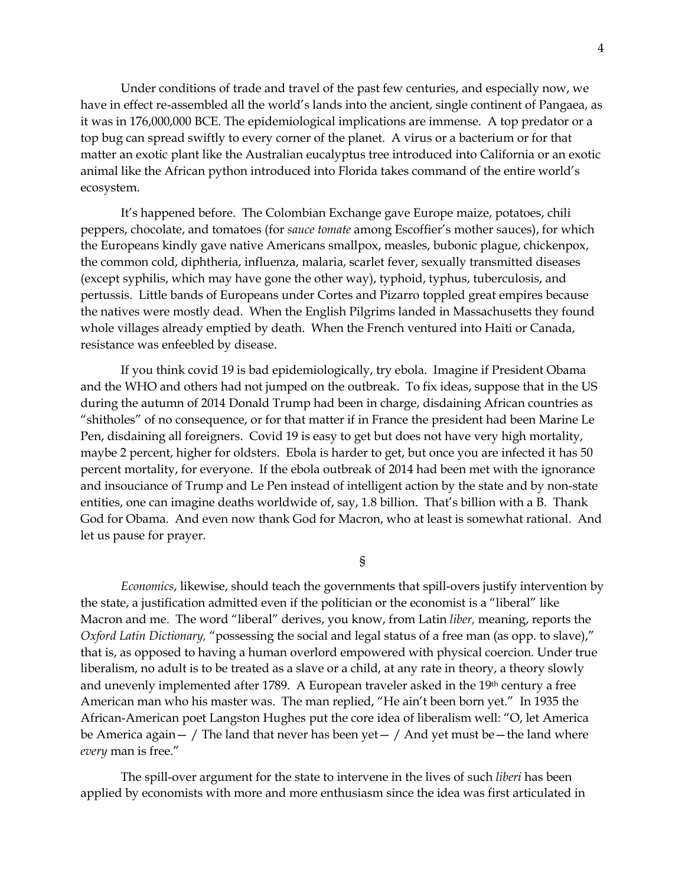Under conditions of trade and travel of the past few centuries, and especially now, we have in effect re-assembled all the world's lands into the ancient, single continent of Pangaea, as it was in 176,000,000 BCE. The epidemiological implications are immense. A top predator or a top bug can spread swiftly to every corner of the planet. A virus or a bacterium or for that matter an exotic plant like the Australian eucalyptus tree introduced into California or an exotic animal like the African python introduced into Florida takes command of the entire world's ecosystem.

It's happened before. The Colombian Exchange gave Europe maize, potatoes, chili peppers, chocolate, and tomatoes (for *sauce tomate* among Escoffier's mother sauces), for which the Europeans kindly gave native Americans smallpox, measles, bubonic plague, chickenpox, the common cold, diphtheria, influenza, malaria, scarlet fever, sexually transmitted diseases (except syphilis, which may have gone the other way), typhoid, typhus, tuberculosis, and pertussis. Little bands of Europeans under Cortes and Pizarro toppled great empires because the natives were mostly dead. When the English Pilgrims landed in Massachusetts they found whole villages already emptied by death. When the French ventured into Haiti or Canada, resistance was enfeebled by disease.

If you think covid 19 is bad epidemiologically, try ebola. Imagine if President Obama and the WHO and others had not jumped on the outbreak. To fix ideas, suppose that in the US during the autumn of 2014 Donald Trump had been in charge, disdaining African countries as "shitholes" of no consequence, or for that matter if in France the president had been Marine Le Pen, disdaining all foreigners. Covid 19 is easy to get but does not have very high mortality, maybe 2 percent, higher for oldsters. Ebola is harder to get, but once you are infected it has 50 percent mortality, for everyone. If the ebola outbreak of 2014 had been met with the ignorance and insouciance of Trump and Le Pen instead of intelligent action by the state and by non-state entities, one can imagine deaths worldwide of, say, 1.8 billion. That's billion with a B. Thank God for Obama. And even now thank God for Macron, who at least is somewhat rational. And let us pause for prayer.

§

*Economics*, likewise, should teach the governments that spill-overs justify intervention by the state, a justification admitted even if the politician or the economist is a "liberal" like Macron and me. The word "liberal" derives, you know, from Latin *liber,* meaning, reports the *Oxford Latin Dictionary,* "possessing the social and legal status of a free man (as opp. to slave)," that is, as opposed to having a human overlord empowered with physical coercion. Under true liberalism, no adult is to be treated as a slave or a child, at any rate in theory, a theory slowly and unevenly implemented after 1789. A European traveler asked in the 19<sup>th</sup> century a free American man who his master was. The man replied, "He ain't been born yet." In 1935 the African-American poet Langston Hughes put the core idea of liberalism well: "O, let America be America again  $-$  / The land that never has been yet  $-$  / And yet must be  $-$  the land where *every* man is free."

The spill-over argument for the state to intervene in the lives of such *liberi* has been applied by economists with more and more enthusiasm since the idea was first articulated in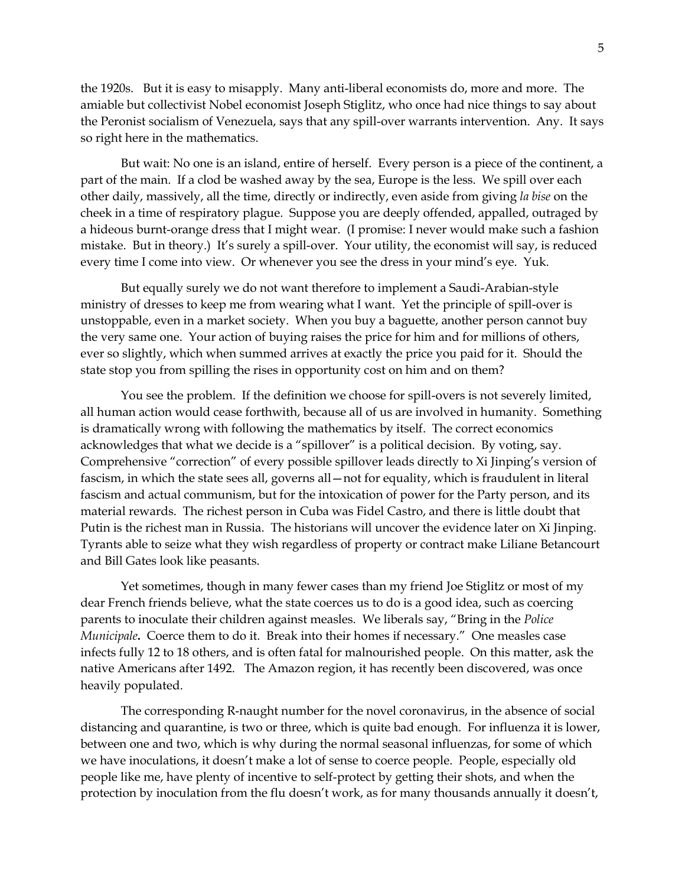the 1920s. But it is easy to misapply. Many anti-liberal economists do, more and more. The amiable but collectivist Nobel economist Joseph Stiglitz, who once had nice things to say about the Peronist socialism of Venezuela, says that any spill-over warrants intervention. Any. It says so right here in the mathematics.

But wait: No one is an island, entire of herself. Every person is a piece of the continent, a part of the main. If a clod be washed away by the sea, Europe is the less. We spill over each other daily, massively, all the time, directly or indirectly, even aside from giving *la bise* on the cheek in a time of respiratory plague. Suppose you are deeply offended, appalled, outraged by a hideous burnt-orange dress that I might wear. (I promise: I never would make such a fashion mistake. But in theory.) It's surely a spill-over. Your utility, the economist will say, is reduced every time I come into view. Or whenever you see the dress in your mind's eye. Yuk.

But equally surely we do not want therefore to implement a Saudi-Arabian-style ministry of dresses to keep me from wearing what I want. Yet the principle of spill-over is unstoppable, even in a market society. When you buy a baguette, another person cannot buy the very same one. Your action of buying raises the price for him and for millions of others, ever so slightly, which when summed arrives at exactly the price you paid for it. Should the state stop you from spilling the rises in opportunity cost on him and on them?

You see the problem. If the definition we choose for spill-overs is not severely limited, all human action would cease forthwith, because all of us are involved in humanity. Something is dramatically wrong with following the mathematics by itself. The correct economics acknowledges that what we decide is a "spillover" is a political decision. By voting, say. Comprehensive "correction" of every possible spillover leads directly to Xi Jinping's version of fascism, in which the state sees all, governs all—not for equality, which is fraudulent in literal fascism and actual communism, but for the intoxication of power for the Party person, and its material rewards. The richest person in Cuba was Fidel Castro, and there is little doubt that Putin is the richest man in Russia. The historians will uncover the evidence later on Xi Jinping. Tyrants able to seize what they wish regardless of property or contract make Liliane Betancourt and Bill Gates look like peasants.

Yet sometimes, though in many fewer cases than my friend Joe Stiglitz or most of my dear French friends believe, what the state coerces us to do is a good idea, such as coercing parents to inoculate their children against measles. We liberals say, "Bring in the *Police Municipale***.** Coerce them to do it. Break into their homes if necessary." One measles case infects fully 12 to 18 others, and is often fatal for malnourished people. On this matter, ask the native Americans after 1492. The Amazon region, it has recently been discovered, was once heavily populated.

The corresponding R-naught number for the novel coronavirus, in the absence of social distancing and quarantine, is two or three, which is quite bad enough. For influenza it is lower, between one and two, which is why during the normal seasonal influenzas, for some of which we have inoculations, it doesn't make a lot of sense to coerce people. People, especially old people like me, have plenty of incentive to self-protect by getting their shots, and when the protection by inoculation from the flu doesn't work, as for many thousands annually it doesn't,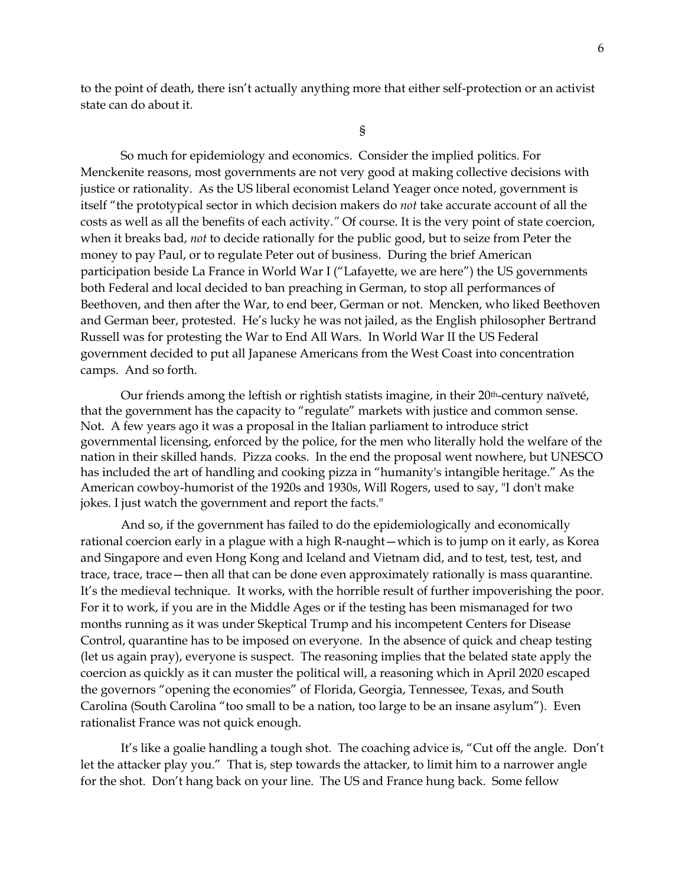to the point of death, there isn't actually anything more that either self-protection or an activist state can do about it.

§

So much for epidemiology and economics. Consider the implied politics. For Menckenite reasons, most governments are not very good at making collective decisions with justice or rationality. As the US liberal economist Leland Yeager once noted, government is itself "the prototypical sector in which decision makers do *not* take accurate account of all the costs as well as all the benefits of each activity.*"* Of course. It is the very point of state coercion, when it breaks bad, *not* to decide rationally for the public good, but to seize from Peter the money to pay Paul, or to regulate Peter out of business. During the brief American participation beside La France in World War I ("Lafayette, we are here") the US governments both Federal and local decided to ban preaching in German, to stop all performances of Beethoven, and then after the War, to end beer, German or not. Mencken, who liked Beethoven and German beer, protested. He's lucky he was not jailed, as the English philosopher Bertrand Russell was for protesting the War to End All Wars. In World War II the US Federal government decided to put all Japanese Americans from the West Coast into concentration camps. And so forth.

Our friends among the leftish or rightish statists imagine, in their 20th-century naïveté, that the government has the capacity to "regulate" markets with justice and common sense. Not. A few years ago it was a proposal in the Italian parliament to introduce strict governmental licensing, enforced by the police, for the men who literally hold the welfare of the nation in their skilled hands. Pizza cooks. In the end the proposal went nowhere, but UNESCO has included the art of handling and cooking pizza in "humanity's intangible heritage." As the American cowboy-humorist of the 1920s and 1930s, Will Rogers, used to say, "I don't make jokes. I just watch the government and report the facts."

And so, if the government has failed to do the epidemiologically and economically rational coercion early in a plague with a high R-naught—which is to jump on it early, as Korea and Singapore and even Hong Kong and Iceland and Vietnam did, and to test, test, test, and trace, trace, trace—then all that can be done even approximately rationally is mass quarantine. It's the medieval technique. It works, with the horrible result of further impoverishing the poor. For it to work, if you are in the Middle Ages or if the testing has been mismanaged for two months running as it was under Skeptical Trump and his incompetent Centers for Disease Control, quarantine has to be imposed on everyone. In the absence of quick and cheap testing (let us again pray), everyone is suspect. The reasoning implies that the belated state apply the coercion as quickly as it can muster the political will, a reasoning which in April 2020 escaped the governors "opening the economies" of Florida, Georgia, Tennessee, Texas, and South Carolina (South Carolina "too small to be a nation, too large to be an insane asylum"). Even rationalist France was not quick enough.

It's like a goalie handling a tough shot. The coaching advice is, "Cut off the angle. Don't let the attacker play you." That is, step towards the attacker, to limit him to a narrower angle for the shot. Don't hang back on your line. The US and France hung back. Some fellow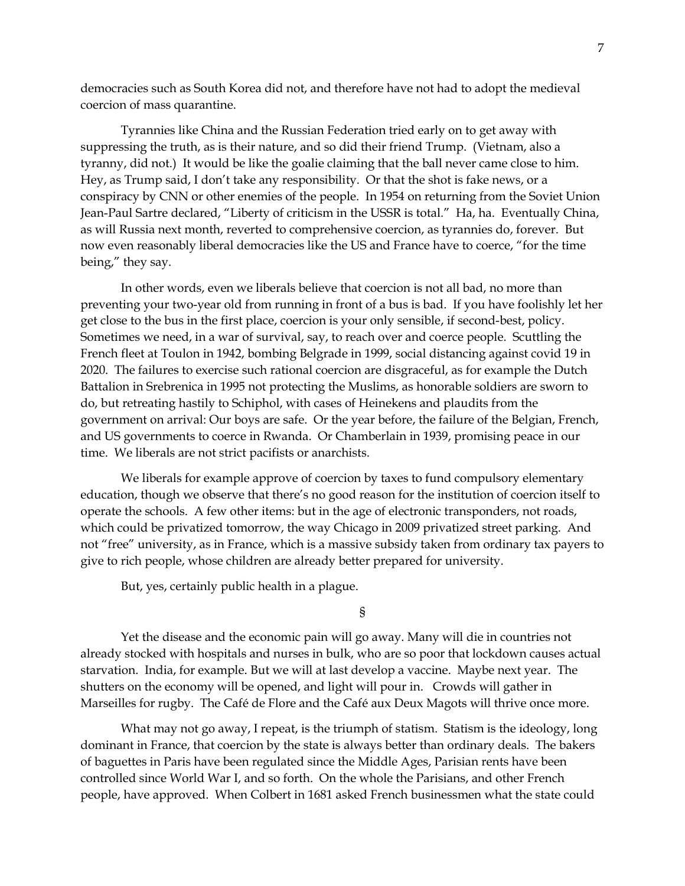democracies such as South Korea did not, and therefore have not had to adopt the medieval coercion of mass quarantine.

Tyrannies like China and the Russian Federation tried early on to get away with suppressing the truth, as is their nature, and so did their friend Trump. (Vietnam, also a tyranny, did not.) It would be like the goalie claiming that the ball never came close to him. Hey, as Trump said, I don't take any responsibility. Or that the shot is fake news, or a conspiracy by CNN or other enemies of the people. In 1954 on returning from the Soviet Union Jean-Paul Sartre declared, "Liberty of criticism in the USSR is total*.*" Ha, ha. Eventually China, as will Russia next month, reverted to comprehensive coercion, as tyrannies do, forever. But now even reasonably liberal democracies like the US and France have to coerce, "for the time being," they say.

In other words, even we liberals believe that coercion is not all bad, no more than preventing your two-year old from running in front of a bus is bad. If you have foolishly let her get close to the bus in the first place, coercion is your only sensible, if second-best, policy. Sometimes we need, in a war of survival, say, to reach over and coerce people. Scuttling the French fleet at Toulon in 1942, bombing Belgrade in 1999, social distancing against covid 19 in 2020. The failures to exercise such rational coercion are disgraceful, as for example the Dutch Battalion in Srebrenica in 1995 not protecting the Muslims, as honorable soldiers are sworn to do, but retreating hastily to Schiphol, with cases of Heinekens and plaudits from the government on arrival: Our boys are safe. Or the year before, the failure of the Belgian, French, and US governments to coerce in Rwanda. Or Chamberlain in 1939, promising peace in our time. We liberals are not strict pacifists or anarchists.

We liberals for example approve of coercion by taxes to fund compulsory elementary education, though we observe that there's no good reason for the institution of coercion itself to operate the schools. A few other items: but in the age of electronic transponders, not roads, which could be privatized tomorrow, the way Chicago in 2009 privatized street parking. And not "free" university, as in France, which is a massive subsidy taken from ordinary tax payers to give to rich people, whose children are already better prepared for university.

But, yes, certainly public health in a plague.

§

Yet the disease and the economic pain will go away. Many will die in countries not already stocked with hospitals and nurses in bulk, who are so poor that lockdown causes actual starvation. India, for example. But we will at last develop a vaccine. Maybe next year. The shutters on the economy will be opened, and light will pour in. Crowds will gather in Marseilles for rugby. The Café de Flore and the Café aux Deux Magots will thrive once more.

What may not go away, I repeat, is the triumph of statism. Statism is the ideology, long dominant in France, that coercion by the state is always better than ordinary deals. The bakers of baguettes in Paris have been regulated since the Middle Ages, Parisian rents have been controlled since World War I, and so forth. On the whole the Parisians, and other French people, have approved. When Colbert in 1681 asked French businessmen what the state could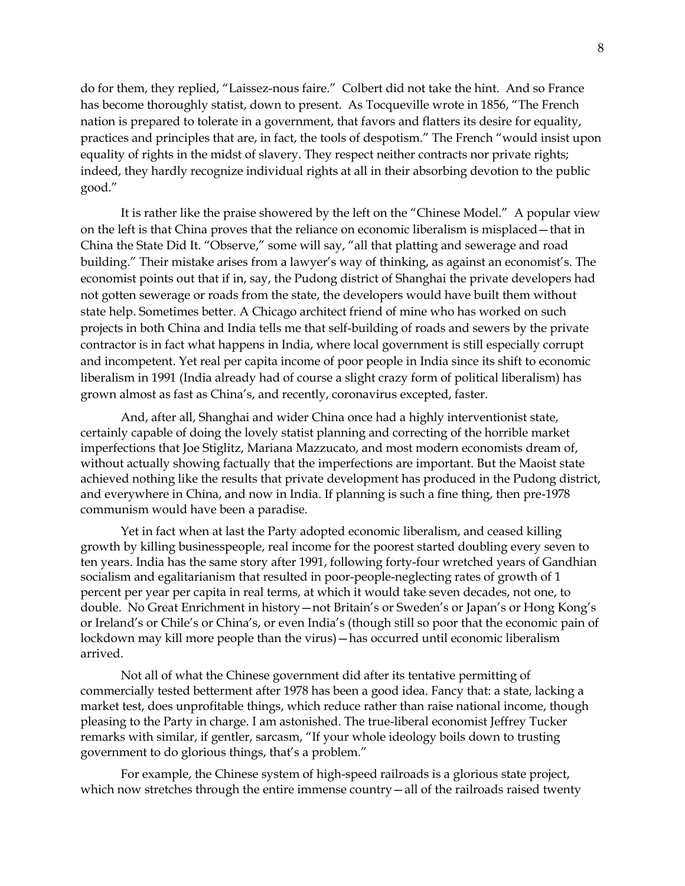do for them, they replied, "Laissez-nous faire." Colbert did not take the hint. And so France has become thoroughly statist, down to present. As Tocqueville wrote in 1856, "The French nation is prepared to tolerate in a government, that favors and flatters its desire for equality, practices and principles that are, in fact, the tools of despotism." The French "would insist upon equality of rights in the midst of slavery. They respect neither contracts nor private rights; indeed, they hardly recognize individual rights at all in their absorbing devotion to the public good."

It is rather like the praise showered by the left on the "Chinese Model." A popular view on the left is that China proves that the reliance on economic liberalism is misplaced—that in China the State Did It. "Observe," some will say, "all that platting and sewerage and road building." Their mistake arises from a lawyer's way of thinking, as against an economist's. The economist points out that if in, say, the Pudong district of Shanghai the private developers had not gotten sewerage or roads from the state, the developers would have built them without state help. Sometimes better. A Chicago architect friend of mine who has worked on such projects in both China and India tells me that self-building of roads and sewers by the private contractor is in fact what happens in India, where local government is still especially corrupt and incompetent. Yet real per capita income of poor people in India since its shift to economic liberalism in 1991 (India already had of course a slight crazy form of political liberalism) has grown almost as fast as China's, and recently, coronavirus excepted, faster.

And, after all, Shanghai and wider China once had a highly interventionist state, certainly capable of doing the lovely statist planning and correcting of the horrible market imperfections that Joe Stiglitz, Mariana Mazzucato, and most modern economists dream of, without actually showing factually that the imperfections are important. But the Maoist state achieved nothing like the results that private development has produced in the Pudong district, and everywhere in China, and now in India. If planning is such a fine thing, then pre-1978 communism would have been a paradise.

Yet in fact when at last the Party adopted economic liberalism, and ceased killing growth by killing businesspeople, real income for the poorest started doubling every seven to ten years. India has the same story after 1991, following forty-four wretched years of Gandhian socialism and egalitarianism that resulted in poor-people-neglecting rates of growth of 1 percent per year per capita in real terms, at which it would take seven decades, not one, to double. No Great Enrichment in history—not Britain's or Sweden's or Japan's or Hong Kong's or Ireland's or Chile's or China's, or even India's (though still so poor that the economic pain of lockdown may kill more people than the virus)—has occurred until economic liberalism arrived.

Not all of what the Chinese government did after its tentative permitting of commercially tested betterment after 1978 has been a good idea. Fancy that: a state, lacking a market test, does unprofitable things, which reduce rather than raise national income, though pleasing to the Party in charge. I am astonished. The true-liberal economist Jeffrey Tucker remarks with similar, if gentler, sarcasm, "If your whole ideology boils down to trusting government to do glorious things, that's a problem."

For example, the Chinese system of high-speed railroads is a glorious state project, which now stretches through the entire immense country - all of the railroads raised twenty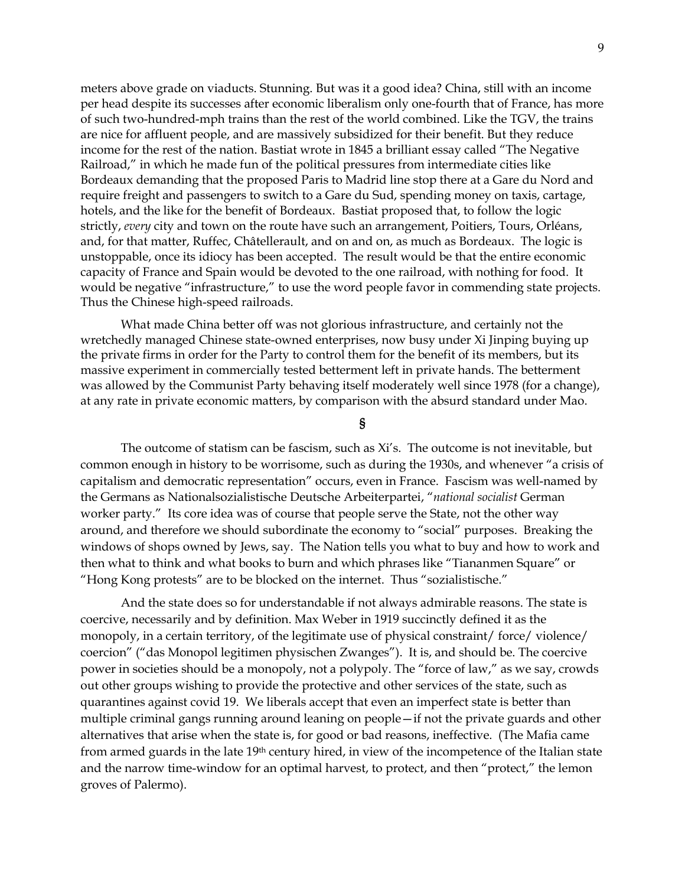meters above grade on viaducts. Stunning. But was it a good idea? China, still with an income per head despite its successes after economic liberalism only one-fourth that of France, has more of such two-hundred-mph trains than the rest of the world combined. Like the TGV, the trains are nice for affluent people, and are massively subsidized for their benefit. But they reduce income for the rest of the nation. Bastiat wrote in 1845 a brilliant essay called "The Negative Railroad," in which he made fun of the political pressures from intermediate cities like Bordeaux demanding that the proposed Paris to Madrid line stop there at a Gare du Nord and require freight and passengers to switch to a Gare du Sud, spending money on taxis, cartage, hotels, and the like for the benefit of Bordeaux. Bastiat proposed that, to follow the logic strictly, *every* city and town on the route have such an arrangement, Poitiers, Tours, Orléans, and, for that matter, Ruffec, Châtellerault, and on and on, as much as Bordeaux. The logic is unstoppable, once its idiocy has been accepted. The result would be that the entire economic capacity of France and Spain would be devoted to the one railroad, with nothing for food. It would be negative "infrastructure," to use the word people favor in commending state projects. Thus the Chinese high-speed railroads.

What made China better off was not glorious infrastructure, and certainly not the wretchedly managed Chinese state-owned enterprises, now busy under Xi Jinping buying up the private firms in order for the Party to control them for the benefit of its members, but its massive experiment in commercially tested betterment left in private hands. The betterment was allowed by the Communist Party behaving itself moderately well since 1978 (for a change), at any rate in private economic matters, by comparison with the absurd standard under Mao.

The outcome of statism can be fascism, such as Xi's. The outcome is not inevitable, but common enough in history to be worrisome, such as during the 1930s, and whenever "a crisis of capitalism and democratic representation" occurs, even in France. Fascism was well-named by the Germans as Nationalsozialistische Deutsche Arbeiterpartei, "*national socialist* German worker party." Its core idea was of course that people serve the State, not the other way around, and therefore we should subordinate the economy to "social" purposes. Breaking the windows of shops owned by Jews, say. The Nation tells you what to buy and how to work and then what to think and what books to burn and which phrases like "Tiananmen Square" or "Hong Kong protests" are to be blocked on the internet. Thus "sozialistische."

And the state does so for understandable if not always admirable reasons. The state is coercive, necessarily and by definition. Max Weber in 1919 succinctly defined it as the monopoly, in a certain territory, of the legitimate use of physical constraint/ force/ violence/ coercion" ("das Monopol legitimen physischen Zwanges"). It is, and should be. The coercive power in societies should be a monopoly, not a polypoly. The "force of law," as we say, crowds out other groups wishing to provide the protective and other services of the state, such as quarantines against covid 19. We liberals accept that even an imperfect state is better than multiple criminal gangs running around leaning on people—if not the private guards and other alternatives that arise when the state is, for good or bad reasons, ineffective. (The Mafia came from armed guards in the late 19th century hired, in view of the incompetence of the Italian state and the narrow time-window for an optimal harvest, to protect, and then "protect," the lemon groves of Palermo).

## **§**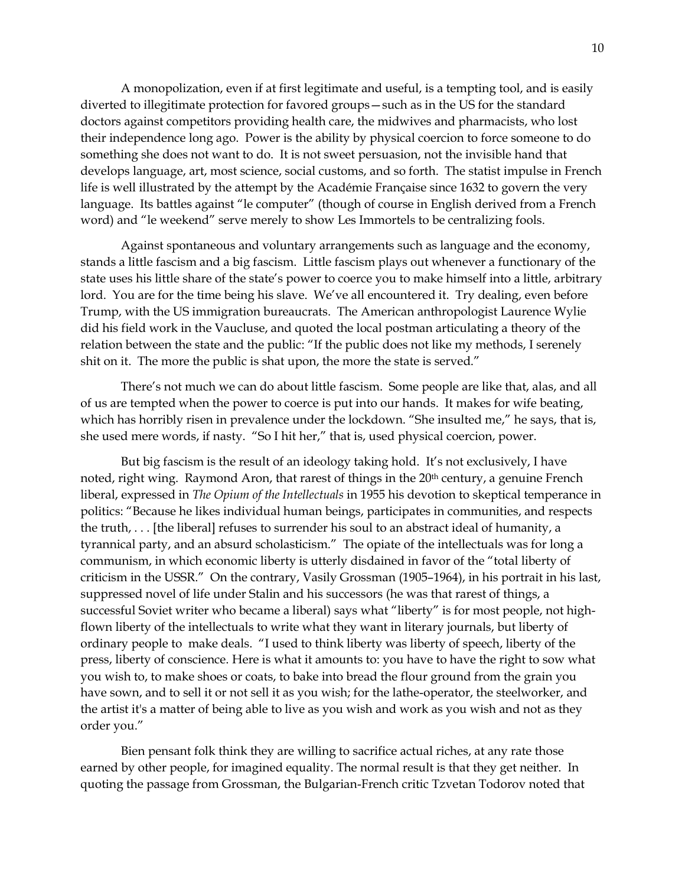A monopolization, even if at first legitimate and useful, is a tempting tool, and is easily diverted to illegitimate protection for favored groups—such as in the US for the standard doctors against competitors providing health care, the midwives and pharmacists, who lost their independence long ago. Power is the ability by physical coercion to force someone to do something she does not want to do. It is not sweet persuasion, not the invisible hand that develops language, art, most science, social customs, and so forth. The statist impulse in French life is well illustrated by the attempt by the Académie Française since 1632 to govern the very language. Its battles against "le computer" (though of course in English derived from a French word) and "le weekend" serve merely to show Les Immortels to be centralizing fools.

Against spontaneous and voluntary arrangements such as language and the economy, stands a little fascism and a big fascism. Little fascism plays out whenever a functionary of the state uses his little share of the state's power to coerce you to make himself into a little, arbitrary lord. You are for the time being his slave. We've all encountered it. Try dealing, even before Trump, with the US immigration bureaucrats. The American anthropologist Laurence Wylie did his field work in the Vaucluse, and quoted the local postman articulating a theory of the relation between the state and the public: "If the public does not like my methods, I serenely shit on it. The more the public is shat upon, the more the state is served."

There's not much we can do about little fascism. Some people are like that, alas, and all of us are tempted when the power to coerce is put into our hands. It makes for wife beating, which has horribly risen in prevalence under the lockdown. "She insulted me," he says, that is, she used mere words, if nasty. "So I hit her," that is, used physical coercion, power.

But big fascism is the result of an ideology taking hold. It's not exclusively, I have noted, right wing. Raymond Aron, that rarest of things in the 20<sup>th</sup> century, a genuine French liberal, expressed in *The Opium of the Intellectuals* in 1955 his devotion to skeptical temperance in politics: "Because he likes individual human beings, participates in communities, and respects the truth, . . . [the liberal] refuses to surrender his soul to an abstract ideal of humanity, a tyrannical party, and an absurd scholasticism." The opiate of the intellectuals was for long a communism, in which economic liberty is utterly disdained in favor of the "total liberty of criticism in the USSR." On the contrary, Vasily Grossman (1905–1964), in his portrait in his last, suppressed novel of life under Stalin and his successors (he was that rarest of things, a successful Soviet writer who became a liberal) says what "liberty" is for most people, not highflown liberty of the intellectuals to write what they want in literary journals, but liberty of ordinary people to make deals. "I used to think liberty was liberty of speech, liberty of the press, liberty of conscience. Here is what it amounts to: you have to have the right to sow what you wish to, to make shoes or coats, to bake into bread the flour ground from the grain you have sown, and to sell it or not sell it as you wish; for the lathe-operator, the steelworker, and the artist it's a matter of being able to live as you wish and work as you wish and not as they order you."

Bien pensant folk think they are willing to sacrifice actual riches, at any rate those earned by other people, for imagined equality. The normal result is that they get neither. In quoting the passage from Grossman, the Bulgarian-French critic Tzvetan Todorov noted that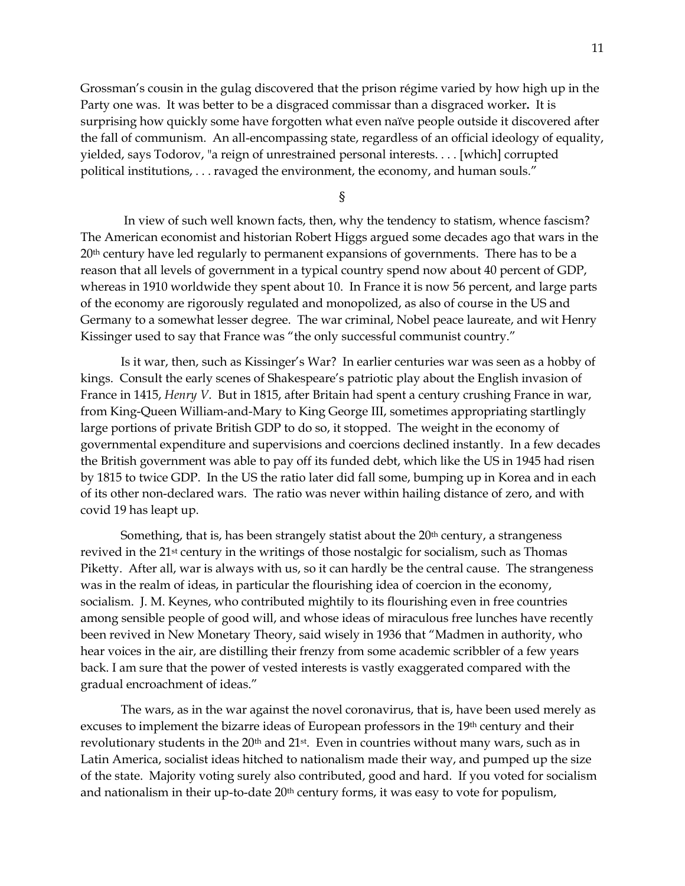Grossman's cousin in the gulag discovered that the prison régime varied by how high up in the Party one was. It was better to be a disgraced commissar than a disgraced worker**.** It is surprising how quickly some have forgotten what even naïve people outside it discovered after the fall of communism. An all-encompassing state, regardless of an official ideology of equality, yielded, says Todorov, "a reign of unrestrained personal interests. . . . [which] corrupted political institutions, . . . ravaged the environment, the economy, and human souls."

§

In view of such well known facts, then, why the tendency to statism, whence fascism? The American economist and historian Robert Higgs argued some decades ago that wars in the 20<sup>th</sup> century have led regularly to permanent expansions of governments. There has to be a reason that all levels of government in a typical country spend now about 40 percent of GDP, whereas in 1910 worldwide they spent about 10. In France it is now 56 percent, and large parts of the economy are rigorously regulated and monopolized, as also of course in the US and Germany to a somewhat lesser degree. The war criminal, Nobel peace laureate, and wit Henry Kissinger used to say that France was "the only successful communist country."

Is it war, then, such as Kissinger's War? In earlier centuries war was seen as a hobby of kings. Consult the early scenes of Shakespeare's patriotic play about the English invasion of France in 1415, *Henry V*. But in 1815, after Britain had spent a century crushing France in war, from King-Queen William-and-Mary to King George III, sometimes appropriating startlingly large portions of private British GDP to do so, it stopped. The weight in the economy of governmental expenditure and supervisions and coercions declined instantly. In a few decades the British government was able to pay off its funded debt, which like the US in 1945 had risen by 1815 to twice GDP. In the US the ratio later did fall some, bumping up in Korea and in each of its other non-declared wars. The ratio was never within hailing distance of zero, and with covid 19 has leapt up.

Something, that is, has been strangely statist about the  $20<sup>th</sup>$  century, a strangeness revived in the 21<sup>st</sup> century in the writings of those nostalgic for socialism, such as Thomas Piketty. After all, war is always with us, so it can hardly be the central cause. The strangeness was in the realm of ideas, in particular the flourishing idea of coercion in the economy, socialism. J. M. Keynes, who contributed mightily to its flourishing even in free countries among sensible people of good will, and whose ideas of miraculous free lunches have recently been revived in New Monetary Theory, said wisely in 1936 that "Madmen in authority, who hear voices in the air, are distilling their frenzy from some academic scribbler of a few years back. I am sure that the power of vested interests is vastly exaggerated compared with the gradual encroachment of ideas."

The wars, as in the war against the novel coronavirus, that is, have been used merely as excuses to implement the bizarre ideas of European professors in the 19<sup>th</sup> century and their revolutionary students in the  $20<sup>th</sup>$  and  $21<sup>st</sup>$ . Even in countries without many wars, such as in Latin America, socialist ideas hitched to nationalism made their way, and pumped up the size of the state. Majority voting surely also contributed, good and hard. If you voted for socialism and nationalism in their up-to-date 20<sup>th</sup> century forms, it was easy to vote for populism,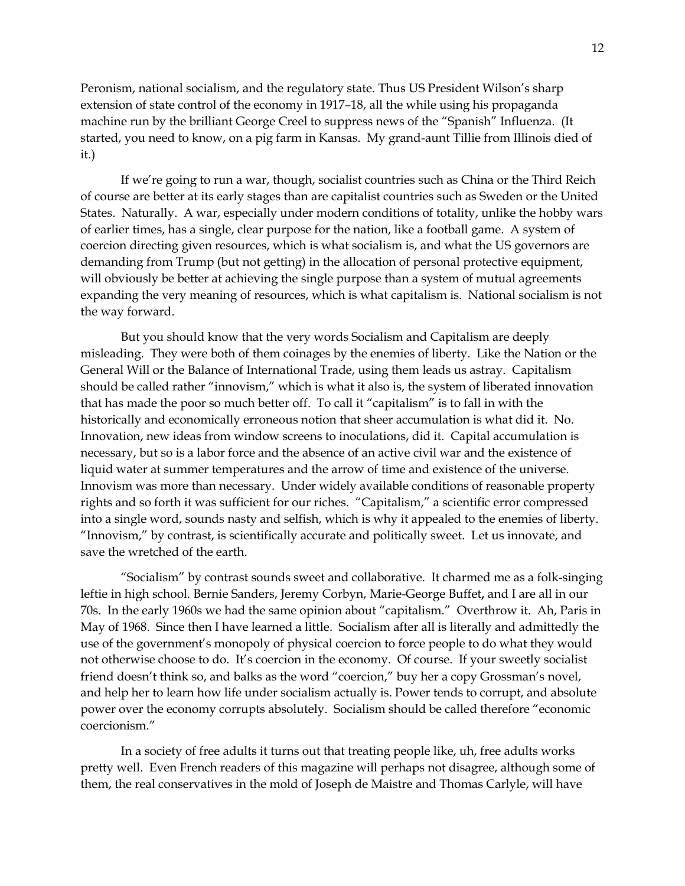Peronism, national socialism, and the regulatory state. Thus US President Wilson's sharp extension of state control of the economy in 1917–18, all the while using his propaganda machine run by the brilliant George Creel to suppress news of the "Spanish" Influenza. (It started, you need to know, on a pig farm in Kansas. My grand-aunt Tillie from Illinois died of it.)

If we're going to run a war, though, socialist countries such as China or the Third Reich of course are better at its early stages than are capitalist countries such as Sweden or the United States. Naturally. A war, especially under modern conditions of totality, unlike the hobby wars of earlier times, has a single, clear purpose for the nation, like a football game. A system of coercion directing given resources, which is what socialism is, and what the US governors are demanding from Trump (but not getting) in the allocation of personal protective equipment, will obviously be better at achieving the single purpose than a system of mutual agreements expanding the very meaning of resources, which is what capitalism is. National socialism is not the way forward.

But you should know that the very words Socialism and Capitalism are deeply misleading. They were both of them coinages by the enemies of liberty. Like the Nation or the General Will or the Balance of International Trade, using them leads us astray. Capitalism should be called rather "innovism," which is what it also is, the system of liberated innovation that has made the poor so much better off. To call it "capitalism" is to fall in with the historically and economically erroneous notion that sheer accumulation is what did it. No. Innovation, new ideas from window screens to inoculations, did it. Capital accumulation is necessary, but so is a labor force and the absence of an active civil war and the existence of liquid water at summer temperatures and the arrow of time and existence of the universe. Innovism was more than necessary. Under widely available conditions of reasonable property rights and so forth it was sufficient for our riches. "Capitalism," a scientific error compressed into a single word, sounds nasty and selfish, which is why it appealed to the enemies of liberty. "Innovism," by contrast, is scientifically accurate and politically sweet. Let us innovate, and save the wretched of the earth.

"Socialism" by contrast sounds sweet and collaborative. It charmed me as a folk-singing leftie in high school. Bernie Sanders, Jeremy Corbyn, Marie-George Buffet**,** and I are all in our 70s. In the early 1960s we had the same opinion about "capitalism." Overthrow it. Ah, Paris in May of 1968. Since then I have learned a little. Socialism after all is literally and admittedly the use of the government's monopoly of physical coercion to force people to do what they would not otherwise choose to do. It's coercion in the economy. Of course. If your sweetly socialist friend doesn't think so, and balks as the word "coercion," buy her a copy Grossman's novel, and help her to learn how life under socialism actually is. Power tends to corrupt, and absolute power over the economy corrupts absolutely. Socialism should be called therefore "economic coercionism."

In a society of free adults it turns out that treating people like, uh, free adults works pretty well. Even French readers of this magazine will perhaps not disagree, although some of them, the real conservatives in the mold of Joseph de Maistre and Thomas Carlyle, will have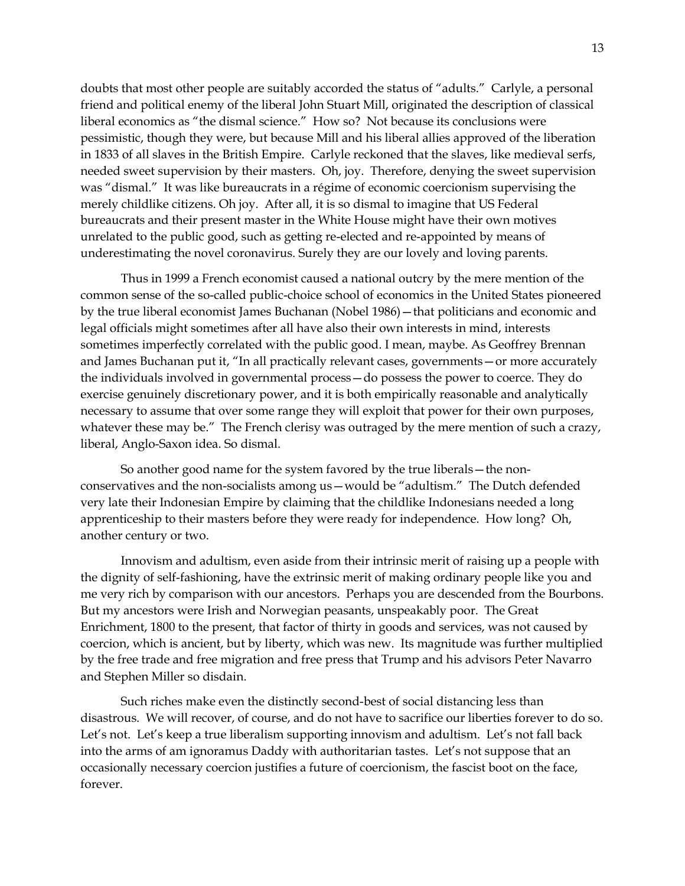doubts that most other people are suitably accorded the status of "adults." Carlyle, a personal friend and political enemy of the liberal John Stuart Mill, originated the description of classical liberal economics as "the dismal science." How so? Not because its conclusions were pessimistic, though they were, but because Mill and his liberal allies approved of the liberation in 1833 of all slaves in the British Empire. Carlyle reckoned that the slaves, like medieval serfs, needed sweet supervision by their masters. Oh, joy. Therefore, denying the sweet supervision was "dismal." It was like bureaucrats in a régime of economic coercionism supervising the merely childlike citizens. Oh joy. After all, it is so dismal to imagine that US Federal bureaucrats and their present master in the White House might have their own motives unrelated to the public good, such as getting re-elected and re-appointed by means of underestimating the novel coronavirus. Surely they are our lovely and loving parents.

Thus in 1999 a French economist caused a national outcry by the mere mention of the common sense of the so-called public-choice school of economics in the United States pioneered by the true liberal economist James Buchanan (Nobel 1986)—that politicians and economic and legal officials might sometimes after all have also their own interests in mind, interests sometimes imperfectly correlated with the public good. I mean, maybe. As Geoffrey Brennan and James Buchanan put it, "In all practically relevant cases, governments—or more accurately the individuals involved in governmental process—do possess the power to coerce. They do exercise genuinely discretionary power, and it is both empirically reasonable and analytically necessary to assume that over some range they will exploit that power for their own purposes, whatever these may be." The French clerisy was outraged by the mere mention of such a crazy, liberal, Anglo-Saxon idea. So dismal.

So another good name for the system favored by the true liberals—the nonconservatives and the non-socialists among us—would be "adultism." The Dutch defended very late their Indonesian Empire by claiming that the childlike Indonesians needed a long apprenticeship to their masters before they were ready for independence. How long? Oh, another century or two.

Innovism and adultism, even aside from their intrinsic merit of raising up a people with the dignity of self-fashioning, have the extrinsic merit of making ordinary people like you and me very rich by comparison with our ancestors. Perhaps you are descended from the Bourbons. But my ancestors were Irish and Norwegian peasants, unspeakably poor. The Great Enrichment, 1800 to the present, that factor of thirty in goods and services, was not caused by coercion, which is ancient, but by liberty, which was new. Its magnitude was further multiplied by the free trade and free migration and free press that Trump and his advisors Peter Navarro and Stephen Miller so disdain.

Such riches make even the distinctly second-best of social distancing less than disastrous. We will recover, of course, and do not have to sacrifice our liberties forever to do so. Let's not. Let's keep a true liberalism supporting innovism and adultism. Let's not fall back into the arms of am ignoramus Daddy with authoritarian tastes. Let's not suppose that an occasionally necessary coercion justifies a future of coercionism, the fascist boot on the face, forever.